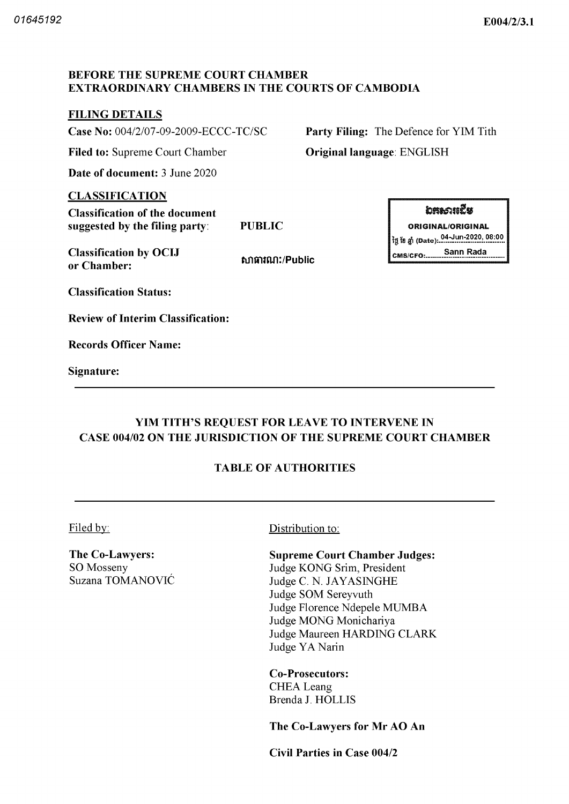#### BEFORE THE SUPREME COURT CHAMBER EXTRAORDINARY CHAMBERS IN THE COURTS OF CAMBODIA

# **FILING DETAILS**

Case No: 004/2/07-09-2009-ECCC-TC/SC Party Filing: The Defence for YIM Tith

Filed to: Supreme Court Chamber **Original language: ENGLISH** 

Date of document: 3 June 2020

#### CLASSIFICATION

Classification of the document suggested by the filing party: PUBLIC **CONFIGUAL PUBLIC CONFIGUAL ORIGINAL ORIGINAL** 

Classification by OCIJ  $\overline{C}$  consection is  $\overline{C}$  consections. or Chamber

សាធារណ:/Public

**bห**សារឌើន ថ្ងៃ ខែ ឆ្នាំ (Date): 04-Jun-2020, 08:00 Sann Rada

Classification Status

Review of Interim Classification

Records Officer Name

Signature

# YIM TITH'S REQUEST FOR LEAVE TO INTERVENE IN CASE 004/02 ON THE JURISDICTION OF THE SUPREME COURT CHAMBER

# TABLE OF AUTHORITIES

The Co-Lawyers: SO Mosseny Suzana TOMANOVIC

Filed by: Distribution to:

Supreme Court Chamber Judges Judge KONG Srim, President Judge C. N. JAYASINGHE Judge SOM Sereyvuth Judge Florence Ndepele MUMBA Judge MONG Monichariya Judge Maureen HARDING CLARK Judge YA Narin

Co-Prosecutors: CHEA Leang Brenda J. HOLLIS

The Co-Lawyers for Mr AO An

Civil Parties in Case 004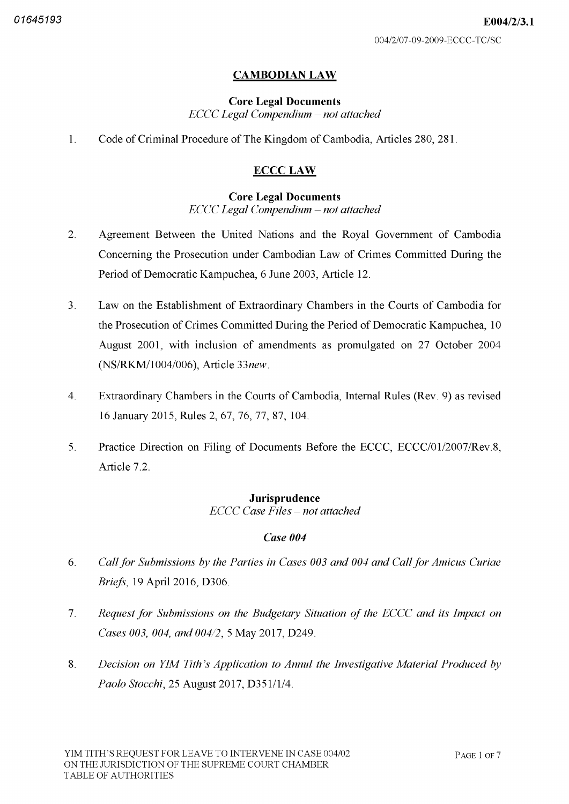# CAMBODIAN LAW

#### Core Legal Documents  $ECCC$  Legal Compendium  $-$  not attached

Code of Criminal Procedure of The Kingdom of Cambodia, Articles 280, 281.  $\mathbf{1}$ .

# ECCC LAW

#### Core Legal Documents  $ECCC$  Legal Compendium  $-$  not attached

- $\overline{2}$ . Agreement Between the United Nations and the Royal Government of Cambodia Concerning the Prosecution under Cambodian Law of Crimes Committed During the Period of Democratic Kampuchea, 6 June 2003, Article 12.
- $3<sub>1</sub>$ Law on the Establishment of Extraordinary Chambers in the Courts of Cambodia for the Prosecution of Crimes Committed During the Period of Democratic Kampuchea, 10 August 2001, with inclusion of amendments as promulgated on 27 October 2004 (NS/RKM/1004/006), Article 33new.
- $\overline{4}$ . Extraordinary Chambers in the Courts of Cambodia, Internal Rules (Rev. 9) as revised 16 January 2015, Rules 2, 67, 76, 77, 87, 104.
- $5<sub>1</sub>$ Practice Direction on Filing of Documents Before the ECCC, ECCC/01/2007/Rev.8, Article 7.2.

# Jurisprudence **ECCC Case Files - not attached**

# Case 004

- 6. Call for Submissions by the Parties in Cases 003 and 004 and Call for Amicus Curiae Briefs, 19 April 2016, D306.
- $7<sub>1</sub>$ Request for Submissions on the Budgetary Situation of the ECCC and its Impact on Cases 003, 004, and 004/2, 5 May 2017, D249.
- 8. Decision on YIM Tith's Application to Annul the Investigative Material Produced by Paolo Stocchi, 25 August 2017, D351/1/4.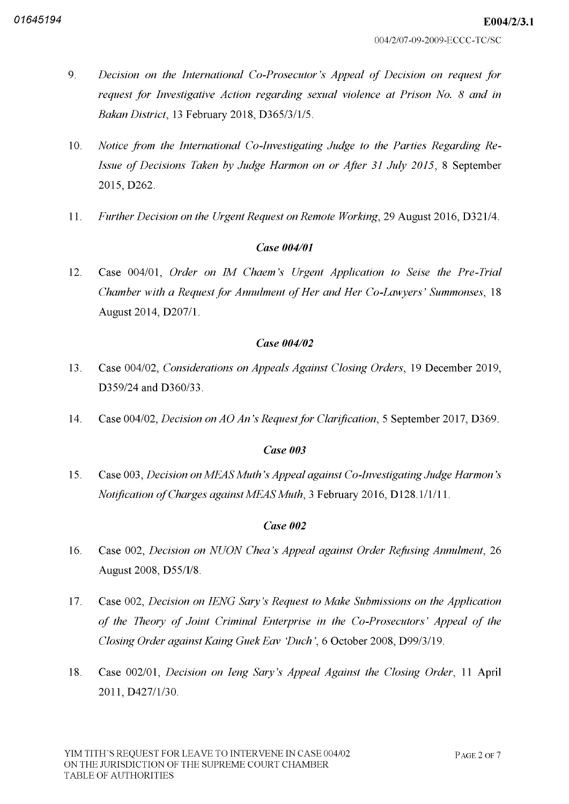- 9. Decision on the International Co Prosecutor's Appeal of Decision on request for request for Investigative Action regarding sexual violence at Prison No. 8 and in Bakan District, 13 February 2018, D365/3/1/5.
- Notice from the International Co-Investigating Judge to the Parties Regarding Re-Issue of Decisions Taken by Judge Harmon on or After 31 July 2015, 8 September 2015, D262. 10
- 11. Further Decision on the Urgent Request on Remote Working, 29 August 2016, D321/4.

# Case 004/01

Case 004/01, Order on IM Chaem's Urgent Application to Seise the Pre-Trial Chamber with a Request for Annulment of Her and Her Co-Lawyers' Summonses, 18 August 2014, D207/1. 12

# Case 004/02

- Case 004/02, *Considerations on Appeals Against Closing Orders*, 19 December 2019 D359/24 and D360/33. 13
- 14. Case 004/02, Decision on AO An's Request for Clarification, 5 September 2017, D369.

# Case 003

Case 003, Decision on MEAS Muth's Appeal against Co-Investigating Judge Harmon's Notification of Charges against MEAS Muth, 3 February 2016, D128.1/1/11. 15

# Case 002

- Case 002, Decision on NUON Chea's Appeal against Order Refusing Annulment, 26 August 2008, D55/I/8. 16
- Case 002, Decision on IENG Sary's Request to Make Submissions on the Application of the Theory of Joint Criminal Enterprise in the Co Prosecutors' Appeal of the Closing Order against Kaing Guek Eav 'Duch', 6 October 2008, D99/3/19. 17
- Case 002/01, *Decision on Ieng Sary's Appeal Against the Closing Order*, 11 April 2011, D427/1/30. 18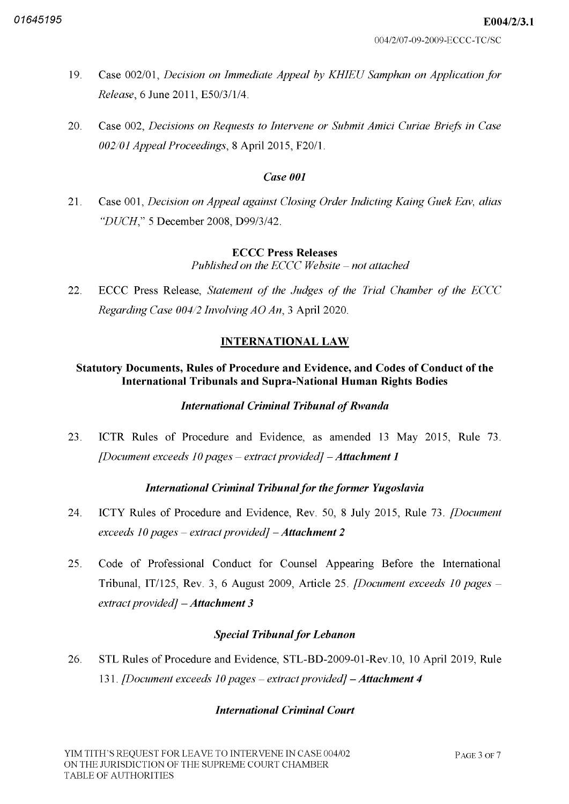- Case 002/01, Decision on Immediate Appeal by KHIEU Samphan on Application for Release, 6 June 2011, E50/3/1/4. 19
- Case 002, Decisions on Requests to Intervene or Submit Amici Curiae Briefs in Case  $002/01$  Appeal Proceedings, 8 April 2015, F20/1. 20

#### Case 001

Case 001, Decision on Appeal against Closing Order Indicting Kaing Guek Eav, alias "DUCH," 5 December 2008, D99/3/42. 21

#### ECCC Press Releases

Published on the ECCC Website  $-$  not attached

22. ECCC Press Release, Statement of the Judges of the Trial Chamber of the ECCC Regarding Case  $004/2$  Involving AO An, 3 April 2020.

# INTERNATIONAL LAW

## Statutory Documents, Rules of Procedure and Evidence, and Codes of Conduct of the International Tribunals and Supra National Human Rights Bodies

#### **International Criminal Tribunal of Rwanda**

ICTR Rules of Procedure and Evidence, as amended 13 May 2015, Rule 73. [Document exceeds 10 pages – extract provided] – **Attachment** 23

# International Criminal Tribunal for the former Yugoslavia

- ICTY Rules of Procedure and Evidence, Rev. 50, 8 July 2015, Rule 73. *[Document* exceeds 10 pages – extract provided] – A<mark>ttachment</mark> 24
- Code of Professional Conduct for Counsel Appearing Before the International Tribunal, IT/125, Rev. 3, 6 August 2009, Article 25. *[Document exceeds 10 pages –* extract provided]  $-A$ ttachment 3 25

# **Special Tribunal for Lebanon**

STL Rules of Procedure and Evidence, STL-BD-2009-01-Rev.10, 10 April 2019, Rule 131. [Document exceeds 10 pages – extract provided] **– Attachment** 26

# International Criminal Court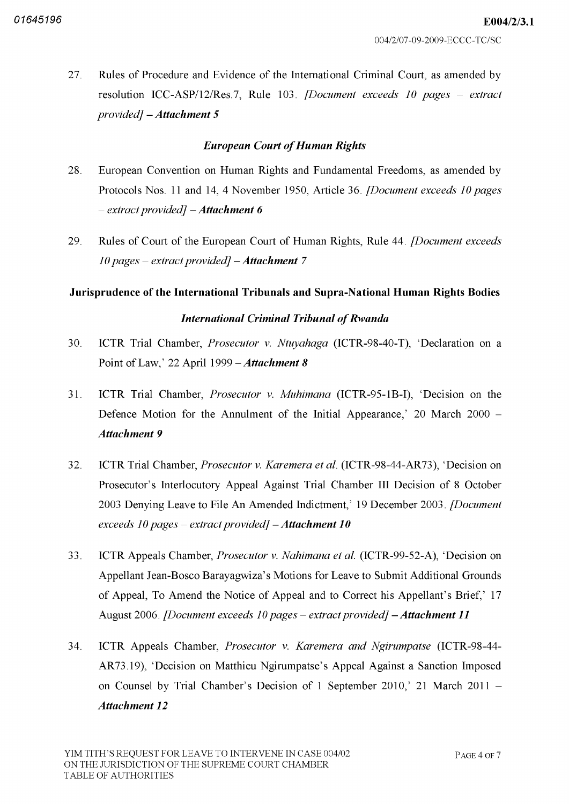E004/2/3.1

Rules of Procedure and Evidence of the International Criminal Court, as amended by resolution ICC-ASP/12/Res.7, Rule 103. *[Document exceeds 10 pages – extract*  $provided$ ]  $-A$ ttachment 5 27

# **European Court of Human Rights**

- European Convention on Human Rights and Fundamental Freedoms, as amended by Protocols Nos. 11 and 14, 4 November 1950, Article 36. *[Document exceeds 10 pages*  $-$  extract provided]  $-$  Attachment 6 28
- Rules of Court of the European Court of Human Rights, Rule 44. *[Document exceeds*] 10 pages – extract provided] **– Attachment** 29

# Jurisprudence of the International Tribunals and Supra National Human Rights Bodies **International Criminal Tribunal of Rwanda**

- ICTR Trial Chamber, *Prosecutor v. Ntuyahaga* (ICTR-98-40-T), 'Declaration on a Point of Law,' 22 April 1999 – Attachment 8 30
- ICTR Trial Chamber, *Prosecutor v. Muhimana* (ICTR-95-1B-I), 'Decision on the Defence Motion for the Annulment of the Initial Appearance,  $20$  March  $2000 -$ Attachment 9 31
- ICTR Trial Chamber, *Prosecutor v. Karemera et al.* (ICTR-98-44-AR73), 'Decision on Prosecutor's Interlocutory Appeal Against Trial Chamber III Decision of 8 October 2003 Denying Leave to File An Amended Indictment,' 19 December 2003. *[Document*] exceeds 10 pages – extract provided] **– Attachment 10** 32
- ICTR Appeals Chamber, *Prosecutor v. Nahimana et al.* (ICTR-99-52-A), 'Decision on Appellant Jean Bosco Barayagwiza's Motions for Leave to Submit Additional Grounds of Appeal, To Amend the Notice of Appeal and to Correct his Appellant's Brief,' 17 August 2006. *[Document exceeds 10 pages – extract provided] – Attachment 11* 33
- ICTR Appeals Chamber, Prosecutor v. Karemera and Ngirumpatse (ICTR-98-44-AR73.19). 'Decision on Matthieu Ngirumpatse's Appeal Against a Sanction Imposed on Counsel by Trial Chamber's Decision of 1 September 2010,' 21 March 2011 -Attachment 12 34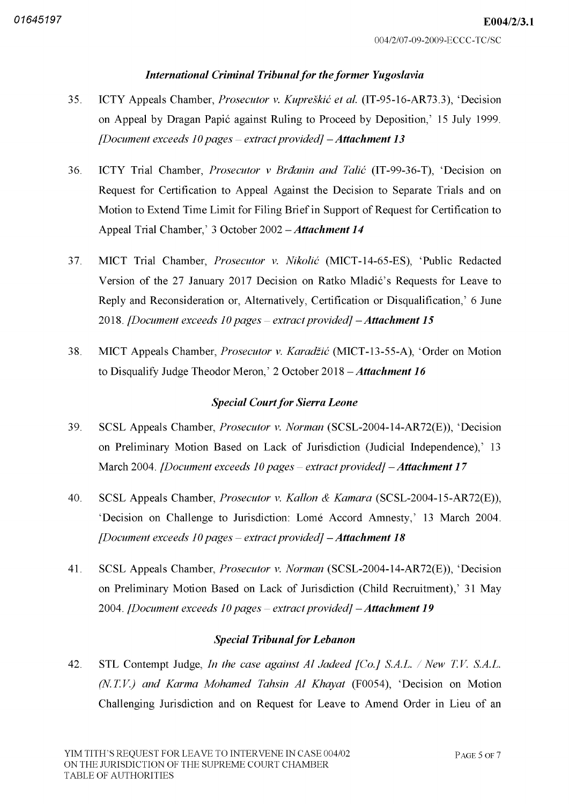# International Criminal Tribunal for the former Yugoslavia

- ICTY Appeals Chamber, *Prosecutor v. Kupreškić et al.* (IT-95-16-AR73.3), 'Decision on Appeal by Dragan Papić against Ruling to Proceed by Deposition,' 15 July 1999. [Document exceeds 10 pages – extract provided] **– Attachment 13** 35
- ICTY Trial Chamber, Prosecutor v Brdanin and Talić (IT-99-36-T), 'Decision on Request for Certification to Appeal Against the Decision to Separate Trials and on Motion to Extend Time Limit for Filing Brief in Support of Request for Certification to Appeal Trial Chamber,' 3 October  $2002 - Attachment 14$ 36
- MICT Trial Chamber, *Prosecutor v. Nikolić* (MICT-14-65-ES), 'Public Redacted Version of the 27 January 2017 Decision on Ratko Mladic's Requests for Leave to Reply and Reconsideration or, Alternatively, Certification or Disqualification,' 6 June 2018. [Document exceeds 10 pages – extract provided] **– Attachment 15** 37
- MICT Appeals Chamber, *Prosecutor v. Karadžić* (MICT-13-55-A), 'Order on Motion to Disqualify Judge Theodor Meron,' 2 October 2018 - Attachment 16 38

## **Special Court for Sierra Leone**

- SCSL Appeals Chamber, *Prosecutor v. Norman* (SCSL-2004-14-AR72(E)), 'Decision on Preliminary Motion Based on Lack of Jurisdiction (Judicial Independence),' 13 March 2004. *[Document exceeds 10 pages – extract provided] – Attachment 17* 39
- SCSL Appeals Chamber, *Prosecutor v. Kallon & Kamara* (SCSL-2004-15-AR72 $(E)$ ), 'Decision on Challenge to Jurisdiction: Lomé Accord Amnesty,' 13 March 2004. [Document exceeds 10 pages – extract provided] **– Attachment 18** 40
- SCSL Appeals Chamber, *Prosecutor v. Norman* (SCSL-2004-14-AR72(E)), 'Decision on Preliminary Motion Based on Lack of Jurisdiction (Child Recruitment),' 31 May 2004. [Document exceeds 10 pages – extract provided] **– Attachment 19** 41

#### **Special Tribunal for Lebanon**

 $STL$  Contempt Judge, *In the case against Al Jadeed [Co.] S.A.L. / New* (N.T.V.) and Karma Mohamed Tahsin Al Khayat (F0054), 'Decision on Motion Challenging Jurisdiction and on Request for Leave to Amend Order in Lieu of an 42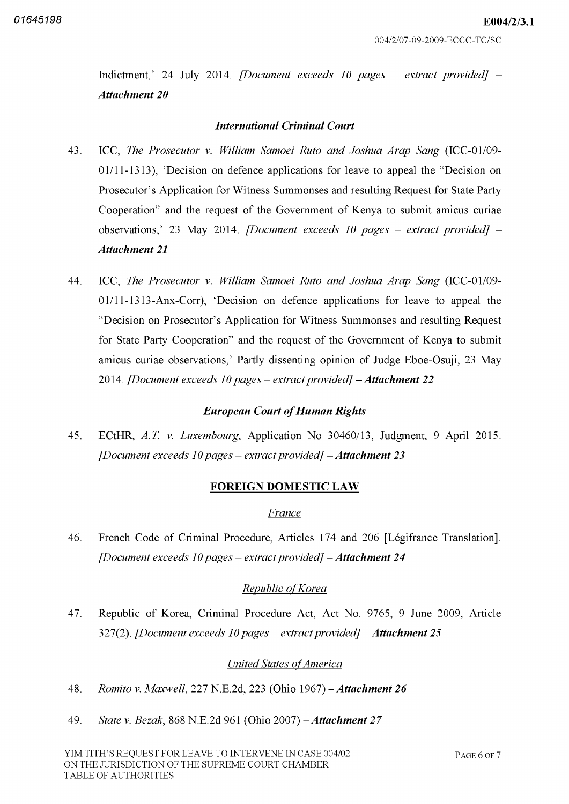Indictment,' 24 July 2014. *[Document exceeds 10 pages – extract provided]* Attachment 20

#### International Criminal Court

- ICC, The Prosecutor v. William Samoei Ruto and Joshua Arap Sang (ICC-01/09-01/11-1313), 'Decision on defence applications for leave to appeal the "Decision on Prosecutor's Application for Witness Summonses and resulting Request for State Party Cooperation" and the request of the Government of Kenya to submit amicus curiae observations,' 23 May 2014. *[Document exceeds 10 pages – extract provided]* 43 Attachment 21
- ICC, The Prosecutor v. William Samoei Ruto and Joshua Arap Sang (ICC-01/09- $01/11 - 1313 - \text{Anx-Corr}$ . 'Decision on defence applications for leave to appeal the "Decision on Prosecutor's Application for Witness Summonses and resulting Request for State Party Cooperation" and the request of the Government of Kenya to submit amicus curiae observations,' Partly dissenting opinion of Judge Eboe-Osuji, 23 May 2014. [Document exceeds 10 pages – extract provided] **– Attachment 22** 44

# **European Court of Human Rights**

ECtHR, A.T. v. Luxembourg, Application No  $30460/13$ , Judgment, 9 April 2015. [Document exceeds 10 pages – extract provided] **– Attachment 23** 45

#### FOREIGN DOMESTIC LAW

#### France

French Code of Criminal Procedure, Articles 174 and 206 [Légifrance Translation]. [Document exceeds 10 pages – extract provided] – **Attachment 24** 46

# Republic of Korea

Republic of Korea, Criminal Procedure Act, Act No. 9765, 9 June 2009, Article 327(2). [Document exceeds 10 pages – extract provided] – A<mark>ttachment 25</mark> 47

# **United States of America**

- 48. Romito v. Maxwell, 227 N.E.2d, 223 (Ohio 1967) Attachment 26
- 49. State v. Bezak, 868 N.E.2d 961 (Ohio 2007) Attachment 27